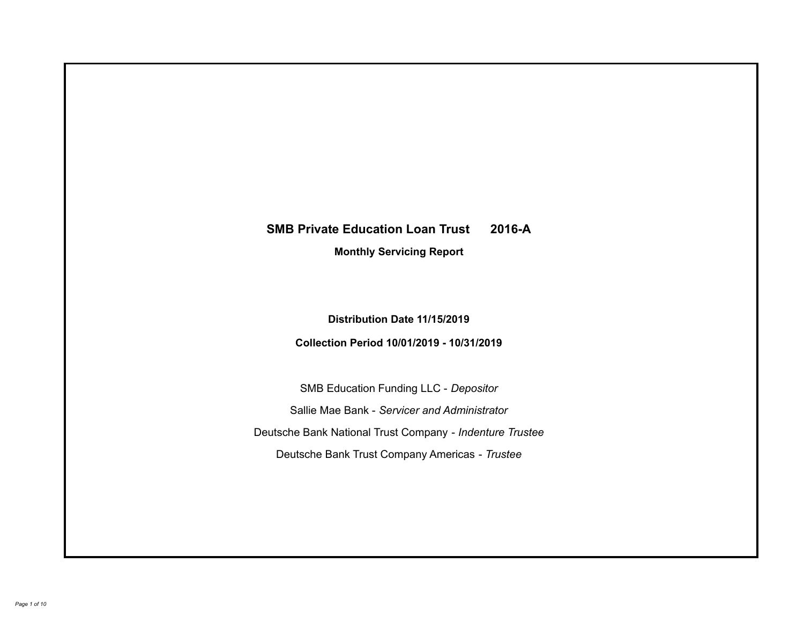# **SMB Private Education Loan Trust 2016-A Monthly Servicing Report**

## **Distribution Date 11/15/2019**

## **Collection Period 10/01/2019 - 10/31/2019**

SMB Education Funding LLC - *Depositor* Sallie Mae Bank - *Servicer and Administrator* Deutsche Bank National Trust Company - *Indenture Trustee* Deutsche Bank Trust Company Americas - *Trustee*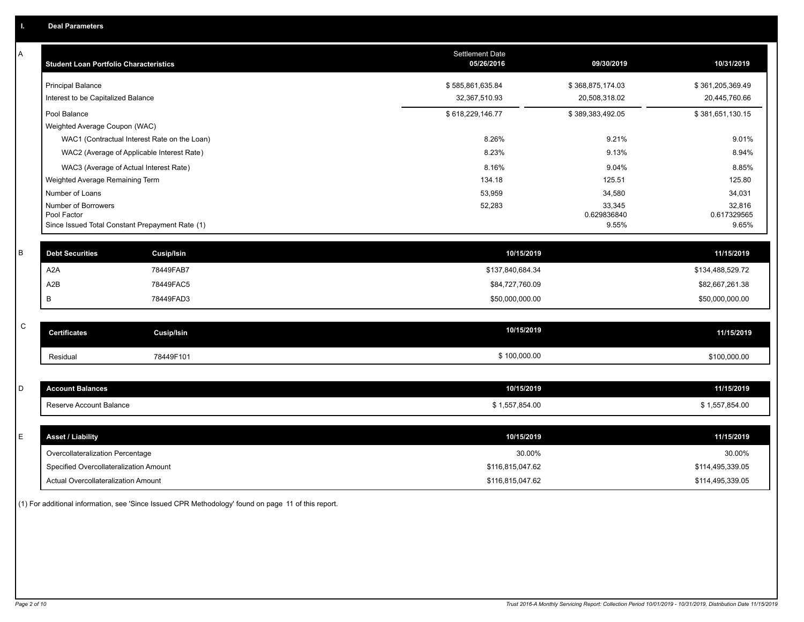| Α           | <b>Student Loan Portfolio Characteristics</b>                  | <b>Settlement Date</b><br>05/26/2016 | 09/30/2019           | 10/31/2019           |
|-------------|----------------------------------------------------------------|--------------------------------------|----------------------|----------------------|
|             | <b>Principal Balance</b>                                       | \$585,861,635.84                     | \$368,875,174.03     | \$361,205,369.49     |
|             | Interest to be Capitalized Balance                             | 32,367,510.93                        | 20,508,318.02        | 20,445,760.66        |
|             | Pool Balance                                                   | \$618,229,146.77                     | \$389,383,492.05     | \$381,651,130.15     |
|             | Weighted Average Coupon (WAC)                                  |                                      |                      |                      |
|             | WAC1 (Contractual Interest Rate on the Loan)                   | 8.26%                                | 9.21%                | 9.01%                |
|             | WAC2 (Average of Applicable Interest Rate)                     | 8.23%                                | 9.13%                | 8.94%                |
|             | WAC3 (Average of Actual Interest Rate)                         | 8.16%                                | 9.04%                | 8.85%                |
|             | Weighted Average Remaining Term                                | 134.18                               | 125.51               | 125.80               |
|             | Number of Loans                                                | 53,959                               | 34,580               | 34,031               |
|             | Number of Borrowers                                            | 52,283                               | 33,345               | 32,816               |
|             | Pool Factor<br>Since Issued Total Constant Prepayment Rate (1) |                                      | 0.629836840<br>9.55% | 0.617329565<br>9.65% |
|             |                                                                |                                      |                      |                      |
| B           | <b>Debt Securities</b><br>Cusip/Isin                           | 10/15/2019                           |                      | 11/15/2019           |
|             | A <sub>2</sub> A<br>78449FAB7                                  | \$137,840,684.34                     |                      | \$134,488,529.72     |
|             | A2B<br>78449FAC5                                               | \$84,727,760.09                      |                      | \$82,667,261.38      |
|             | 78449FAD3<br>B                                                 | \$50,000,000.00                      |                      | \$50,000,000.00      |
|             |                                                                |                                      |                      |                      |
| $\mathbf C$ | <b>Certificates</b><br>Cusip/Isin                              | 10/15/2019                           |                      | 11/15/2019           |
|             | 78449F101<br>Residual                                          | \$100,000.00                         |                      | \$100,000.00         |
|             |                                                                |                                      |                      |                      |
| D           | <b>Account Balances</b>                                        | 10/15/2019                           |                      | 11/15/2019           |
|             | Reserve Account Balance                                        | \$1,557,854.00                       |                      | \$1,557,854.00       |
|             |                                                                |                                      |                      |                      |
| E           | <b>Asset / Liability</b>                                       | 10/15/2019                           |                      | 11/15/2019           |
|             | Overcollateralization Percentage                               | 30.00%                               |                      | 30.00%               |
|             | Specified Overcollateralization Amount                         | \$116,815,047.62                     |                      | \$114,495,339.05     |
|             | Actual Overcollateralization Amount                            | \$116,815,047.62                     |                      | \$114,495,339.05     |

(1) For additional information, see 'Since Issued CPR Methodology' found on page 11 of this report.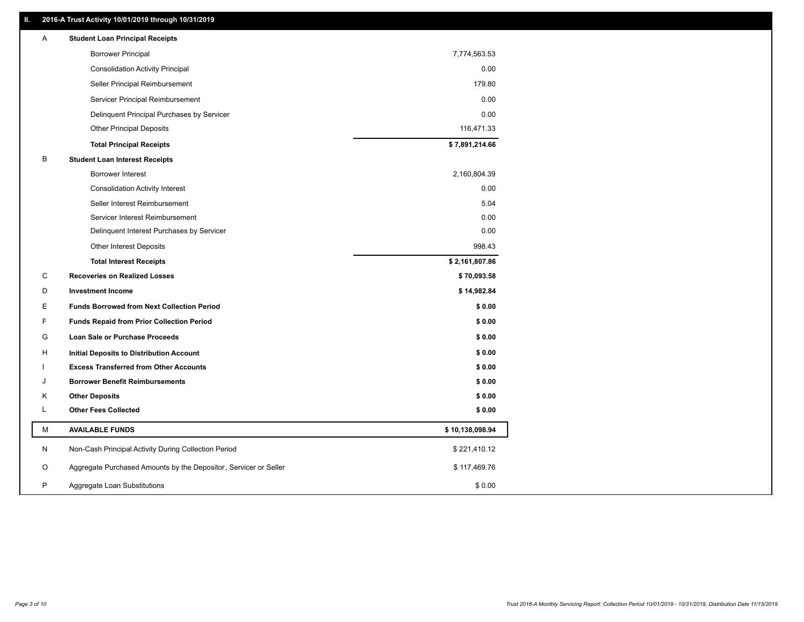## **II. 2016-A Trust Activity 10/01/2019 through 10/31/2019**

| <b>Borrower Principal</b><br>7,774,563.53<br>0.00<br><b>Consolidation Activity Principal</b><br>Seller Principal Reimbursement<br>179.80<br>Servicer Principal Reimbursement<br>0.00<br>0.00<br>Delinquent Principal Purchases by Servicer<br>116,471.33<br><b>Other Principal Deposits</b><br>\$7,891,214.66<br><b>Total Principal Receipts</b><br>В<br><b>Student Loan Interest Receipts</b><br>Borrower Interest<br>2,160,804.39<br>0.00<br><b>Consolidation Activity Interest</b><br>Seller Interest Reimbursement<br>5.04<br>0.00<br>Servicer Interest Reimbursement<br>0.00<br>Delinquent Interest Purchases by Servicer<br>Other Interest Deposits<br>998.43<br><b>Total Interest Receipts</b><br>\$2,161,807.86<br>C<br><b>Recoveries on Realized Losses</b><br>\$70,093.58<br>D<br><b>Investment Income</b><br>\$14,982.84<br>Е<br><b>Funds Borrowed from Next Collection Period</b><br>\$0.00<br>F<br>\$0.00<br><b>Funds Repaid from Prior Collection Period</b><br>G<br>\$0.00<br>Loan Sale or Purchase Proceeds<br>\$0.00<br>H<br>Initial Deposits to Distribution Account<br>\$0.00<br><b>Excess Transferred from Other Accounts</b><br><b>Borrower Benefit Reimbursements</b><br>\$0.00<br>J<br>Κ<br><b>Other Deposits</b><br>\$0.00<br>L<br><b>Other Fees Collected</b><br>\$0.00<br>М<br><b>AVAILABLE FUNDS</b><br>\$10,138,098.94<br>N<br>Non-Cash Principal Activity During Collection Period<br>\$221,410.12<br>Aggregate Purchased Amounts by the Depositor, Servicer or Seller<br>O<br>\$117,469.76<br>P<br>\$0.00<br>Aggregate Loan Substitutions | A | <b>Student Loan Principal Receipts</b> |  |
|-------------------------------------------------------------------------------------------------------------------------------------------------------------------------------------------------------------------------------------------------------------------------------------------------------------------------------------------------------------------------------------------------------------------------------------------------------------------------------------------------------------------------------------------------------------------------------------------------------------------------------------------------------------------------------------------------------------------------------------------------------------------------------------------------------------------------------------------------------------------------------------------------------------------------------------------------------------------------------------------------------------------------------------------------------------------------------------------------------------------------------------------------------------------------------------------------------------------------------------------------------------------------------------------------------------------------------------------------------------------------------------------------------------------------------------------------------------------------------------------------------------------------------------------------------------------------|---|----------------------------------------|--|
|                                                                                                                                                                                                                                                                                                                                                                                                                                                                                                                                                                                                                                                                                                                                                                                                                                                                                                                                                                                                                                                                                                                                                                                                                                                                                                                                                                                                                                                                                                                                                                         |   |                                        |  |
|                                                                                                                                                                                                                                                                                                                                                                                                                                                                                                                                                                                                                                                                                                                                                                                                                                                                                                                                                                                                                                                                                                                                                                                                                                                                                                                                                                                                                                                                                                                                                                         |   |                                        |  |
|                                                                                                                                                                                                                                                                                                                                                                                                                                                                                                                                                                                                                                                                                                                                                                                                                                                                                                                                                                                                                                                                                                                                                                                                                                                                                                                                                                                                                                                                                                                                                                         |   |                                        |  |
|                                                                                                                                                                                                                                                                                                                                                                                                                                                                                                                                                                                                                                                                                                                                                                                                                                                                                                                                                                                                                                                                                                                                                                                                                                                                                                                                                                                                                                                                                                                                                                         |   |                                        |  |
|                                                                                                                                                                                                                                                                                                                                                                                                                                                                                                                                                                                                                                                                                                                                                                                                                                                                                                                                                                                                                                                                                                                                                                                                                                                                                                                                                                                                                                                                                                                                                                         |   |                                        |  |
|                                                                                                                                                                                                                                                                                                                                                                                                                                                                                                                                                                                                                                                                                                                                                                                                                                                                                                                                                                                                                                                                                                                                                                                                                                                                                                                                                                                                                                                                                                                                                                         |   |                                        |  |
|                                                                                                                                                                                                                                                                                                                                                                                                                                                                                                                                                                                                                                                                                                                                                                                                                                                                                                                                                                                                                                                                                                                                                                                                                                                                                                                                                                                                                                                                                                                                                                         |   |                                        |  |
|                                                                                                                                                                                                                                                                                                                                                                                                                                                                                                                                                                                                                                                                                                                                                                                                                                                                                                                                                                                                                                                                                                                                                                                                                                                                                                                                                                                                                                                                                                                                                                         |   |                                        |  |
|                                                                                                                                                                                                                                                                                                                                                                                                                                                                                                                                                                                                                                                                                                                                                                                                                                                                                                                                                                                                                                                                                                                                                                                                                                                                                                                                                                                                                                                                                                                                                                         |   |                                        |  |
|                                                                                                                                                                                                                                                                                                                                                                                                                                                                                                                                                                                                                                                                                                                                                                                                                                                                                                                                                                                                                                                                                                                                                                                                                                                                                                                                                                                                                                                                                                                                                                         |   |                                        |  |
|                                                                                                                                                                                                                                                                                                                                                                                                                                                                                                                                                                                                                                                                                                                                                                                                                                                                                                                                                                                                                                                                                                                                                                                                                                                                                                                                                                                                                                                                                                                                                                         |   |                                        |  |
|                                                                                                                                                                                                                                                                                                                                                                                                                                                                                                                                                                                                                                                                                                                                                                                                                                                                                                                                                                                                                                                                                                                                                                                                                                                                                                                                                                                                                                                                                                                                                                         |   |                                        |  |
|                                                                                                                                                                                                                                                                                                                                                                                                                                                                                                                                                                                                                                                                                                                                                                                                                                                                                                                                                                                                                                                                                                                                                                                                                                                                                                                                                                                                                                                                                                                                                                         |   |                                        |  |
|                                                                                                                                                                                                                                                                                                                                                                                                                                                                                                                                                                                                                                                                                                                                                                                                                                                                                                                                                                                                                                                                                                                                                                                                                                                                                                                                                                                                                                                                                                                                                                         |   |                                        |  |
|                                                                                                                                                                                                                                                                                                                                                                                                                                                                                                                                                                                                                                                                                                                                                                                                                                                                                                                                                                                                                                                                                                                                                                                                                                                                                                                                                                                                                                                                                                                                                                         |   |                                        |  |
|                                                                                                                                                                                                                                                                                                                                                                                                                                                                                                                                                                                                                                                                                                                                                                                                                                                                                                                                                                                                                                                                                                                                                                                                                                                                                                                                                                                                                                                                                                                                                                         |   |                                        |  |
|                                                                                                                                                                                                                                                                                                                                                                                                                                                                                                                                                                                                                                                                                                                                                                                                                                                                                                                                                                                                                                                                                                                                                                                                                                                                                                                                                                                                                                                                                                                                                                         |   |                                        |  |
|                                                                                                                                                                                                                                                                                                                                                                                                                                                                                                                                                                                                                                                                                                                                                                                                                                                                                                                                                                                                                                                                                                                                                                                                                                                                                                                                                                                                                                                                                                                                                                         |   |                                        |  |
|                                                                                                                                                                                                                                                                                                                                                                                                                                                                                                                                                                                                                                                                                                                                                                                                                                                                                                                                                                                                                                                                                                                                                                                                                                                                                                                                                                                                                                                                                                                                                                         |   |                                        |  |
|                                                                                                                                                                                                                                                                                                                                                                                                                                                                                                                                                                                                                                                                                                                                                                                                                                                                                                                                                                                                                                                                                                                                                                                                                                                                                                                                                                                                                                                                                                                                                                         |   |                                        |  |
|                                                                                                                                                                                                                                                                                                                                                                                                                                                                                                                                                                                                                                                                                                                                                                                                                                                                                                                                                                                                                                                                                                                                                                                                                                                                                                                                                                                                                                                                                                                                                                         |   |                                        |  |
|                                                                                                                                                                                                                                                                                                                                                                                                                                                                                                                                                                                                                                                                                                                                                                                                                                                                                                                                                                                                                                                                                                                                                                                                                                                                                                                                                                                                                                                                                                                                                                         |   |                                        |  |
|                                                                                                                                                                                                                                                                                                                                                                                                                                                                                                                                                                                                                                                                                                                                                                                                                                                                                                                                                                                                                                                                                                                                                                                                                                                                                                                                                                                                                                                                                                                                                                         |   |                                        |  |
|                                                                                                                                                                                                                                                                                                                                                                                                                                                                                                                                                                                                                                                                                                                                                                                                                                                                                                                                                                                                                                                                                                                                                                                                                                                                                                                                                                                                                                                                                                                                                                         |   |                                        |  |
|                                                                                                                                                                                                                                                                                                                                                                                                                                                                                                                                                                                                                                                                                                                                                                                                                                                                                                                                                                                                                                                                                                                                                                                                                                                                                                                                                                                                                                                                                                                                                                         |   |                                        |  |
|                                                                                                                                                                                                                                                                                                                                                                                                                                                                                                                                                                                                                                                                                                                                                                                                                                                                                                                                                                                                                                                                                                                                                                                                                                                                                                                                                                                                                                                                                                                                                                         |   |                                        |  |
|                                                                                                                                                                                                                                                                                                                                                                                                                                                                                                                                                                                                                                                                                                                                                                                                                                                                                                                                                                                                                                                                                                                                                                                                                                                                                                                                                                                                                                                                                                                                                                         |   |                                        |  |
|                                                                                                                                                                                                                                                                                                                                                                                                                                                                                                                                                                                                                                                                                                                                                                                                                                                                                                                                                                                                                                                                                                                                                                                                                                                                                                                                                                                                                                                                                                                                                                         |   |                                        |  |
|                                                                                                                                                                                                                                                                                                                                                                                                                                                                                                                                                                                                                                                                                                                                                                                                                                                                                                                                                                                                                                                                                                                                                                                                                                                                                                                                                                                                                                                                                                                                                                         |   |                                        |  |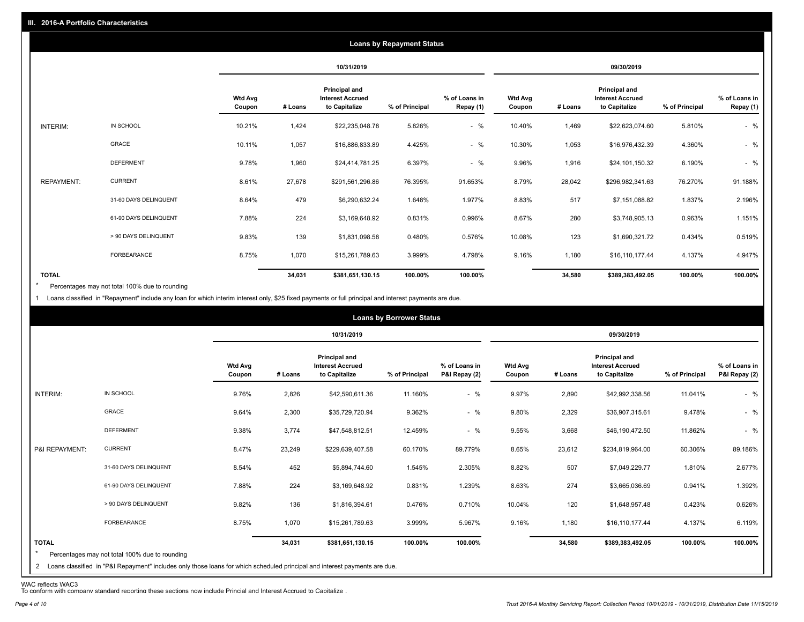|                   |                       |                          |         |                                                           | <b>Loans by Repayment Status</b> |                            |                          |         |                                                           |                |                            |
|-------------------|-----------------------|--------------------------|---------|-----------------------------------------------------------|----------------------------------|----------------------------|--------------------------|---------|-----------------------------------------------------------|----------------|----------------------------|
|                   |                       |                          |         | 10/31/2019                                                |                                  |                            | 09/30/2019               |         |                                                           |                |                            |
|                   |                       | <b>Wtd Avg</b><br>Coupon | # Loans | Principal and<br><b>Interest Accrued</b><br>to Capitalize | % of Principal                   | % of Loans in<br>Repay (1) | <b>Wtd Avg</b><br>Coupon | # Loans | Principal and<br><b>Interest Accrued</b><br>to Capitalize | % of Principal | % of Loans in<br>Repay (1) |
| INTERIM:          | IN SCHOOL             | 10.21%                   | 1,424   | \$22,235,048.78                                           | 5.826%                           | $-$ %                      | 10.40%                   | 1,469   | \$22,623,074.60                                           | 5.810%         | $-$ %                      |
|                   | GRACE                 | 10.11%                   | 1,057   | \$16,886,833.89                                           | 4.425%                           | $-$ %                      | 10.30%                   | 1,053   | \$16,976,432.39                                           | 4.360%         | $-$ %                      |
|                   | <b>DEFERMENT</b>      | 9.78%                    | 1,960   | \$24,414,781.25                                           | 6.397%                           | $-$ %                      | 9.96%                    | 1,916   | \$24,101,150.32                                           | 6.190%         | $-$ %                      |
| <b>REPAYMENT:</b> | <b>CURRENT</b>        | 8.61%                    | 27,678  | \$291,561,296.86                                          | 76.395%                          | 91.653%                    | 8.79%                    | 28,042  | \$296,982,341.63                                          | 76.270%        | 91.188%                    |
|                   | 31-60 DAYS DELINQUENT | 8.64%                    | 479     | \$6,290,632.24                                            | 1.648%                           | 1.977%                     | 8.83%                    | 517     | \$7,151,088.82                                            | 1.837%         | 2.196%                     |
|                   | 61-90 DAYS DELINQUENT | 7.88%                    | 224     | \$3,169,648.92                                            | 0.831%                           | 0.996%                     | 8.67%                    | 280     | \$3,748,905.13                                            | 0.963%         | 1.151%                     |
|                   | > 90 DAYS DELINQUENT  | 9.83%                    | 139     | \$1,831,098.58                                            | 0.480%                           | 0.576%                     | 10.08%                   | 123     | \$1,690,321.72                                            | 0.434%         | 0.519%                     |
|                   | FORBEARANCE           | 8.75%                    | 1,070   | \$15,261,789.63                                           | 3.999%                           | 4.798%                     | 9.16%                    | 1,180   | \$16,110,177.44                                           | 4.137%         | 4.947%                     |
| <b>TOTAL</b>      |                       |                          | 34,031  | \$381,651,130.15                                          | 100.00%                          | 100.00%                    |                          | 34,580  | \$389,383,492.05                                          | 100.00%        | 100.00%                    |

Percentages may not total 100% due to rounding  $\star$ 

1 Loans classified in "Repayment" include any loan for which interim interest only, \$25 fixed payments or full principal and interest payments are due.

|                   |                                                                                                                                                                              | <b>Wtd Avg</b><br>Coupon |         | 10/31/2019<br><b>Principal and</b>       |                |                                |                          |         | 09/30/2019                                                       |                |                                |
|-------------------|------------------------------------------------------------------------------------------------------------------------------------------------------------------------------|--------------------------|---------|------------------------------------------|----------------|--------------------------------|--------------------------|---------|------------------------------------------------------------------|----------------|--------------------------------|
|                   |                                                                                                                                                                              |                          |         |                                          |                |                                |                          |         |                                                                  |                |                                |
|                   |                                                                                                                                                                              |                          | # Loans | <b>Interest Accrued</b><br>to Capitalize | % of Principal | % of Loans in<br>P&I Repay (2) | <b>Wtd Avg</b><br>Coupon | # Loans | <b>Principal and</b><br><b>Interest Accrued</b><br>to Capitalize | % of Principal | % of Loans in<br>P&I Repay (2) |
| INTERIM:          | IN SCHOOL                                                                                                                                                                    | 9.76%                    | 2,826   | \$42,590,611.36                          | 11.160%        | $-$ %                          | 9.97%                    | 2,890   | \$42,992,338.56                                                  | 11.041%        | $-$ %                          |
|                   | <b>GRACE</b>                                                                                                                                                                 | 9.64%                    | 2,300   | \$35,729,720.94                          | 9.362%         | $-$ %                          | 9.80%                    | 2,329   | \$36,907,315.61                                                  | 9.478%         | $-$ %                          |
|                   | <b>DEFERMENT</b>                                                                                                                                                             | 9.38%                    | 3,774   | \$47,548,812.51                          | 12.459%        | $-$ %                          | 9.55%                    | 3,668   | \$46,190,472.50                                                  | 11.862%        | $-$ %                          |
| P&I REPAYMENT:    | <b>CURRENT</b>                                                                                                                                                               | 8.47%                    | 23,249  | \$229,639,407.58                         | 60.170%        | 89.779%                        | 8.65%                    | 23,612  | \$234,819,964.00                                                 | 60.306%        | 89.186%                        |
|                   | 31-60 DAYS DELINQUENT                                                                                                                                                        | 8.54%                    | 452     | \$5,894,744.60                           | 1.545%         | 2.305%                         | 8.82%                    | 507     | \$7,049,229.77                                                   | 1.810%         | 2.677%                         |
|                   | 61-90 DAYS DELINQUENT                                                                                                                                                        | 7.88%                    | 224     | \$3,169,648.92                           | 0.831%         | 1.239%                         | 8.63%                    | 274     | \$3,665,036.69                                                   | 0.941%         | 1.392%                         |
|                   | > 90 DAYS DELINQUENT                                                                                                                                                         | 9.82%                    | 136     | \$1,816,394.61                           | 0.476%         | 0.710%                         | 10.04%                   | 120     | \$1,648,957.48                                                   | 0.423%         | 0.626%                         |
|                   | FORBEARANCE                                                                                                                                                                  | 8.75%                    | 1,070   | \$15,261,789.63                          | 3.999%         | 5.967%                         | 9.16%                    | 1,180   | \$16,110,177.44                                                  | 4.137%         | 6.119%                         |
| <b>TOTAL</b><br>2 | Percentages may not total 100% due to rounding<br>Loans classified in "P&I Repayment" includes only those loans for which scheduled principal and interest payments are due. |                          | 34,031  | \$381,651,130.15                         | 100.00%        | 100.00%                        |                          | 34,580  | \$389,383,492.05                                                 | 100.00%        | 100.00%                        |

WAC reflects WAC3 To conform with company standard reporting these sections now include Princial and Interest Accrued to Capitalize .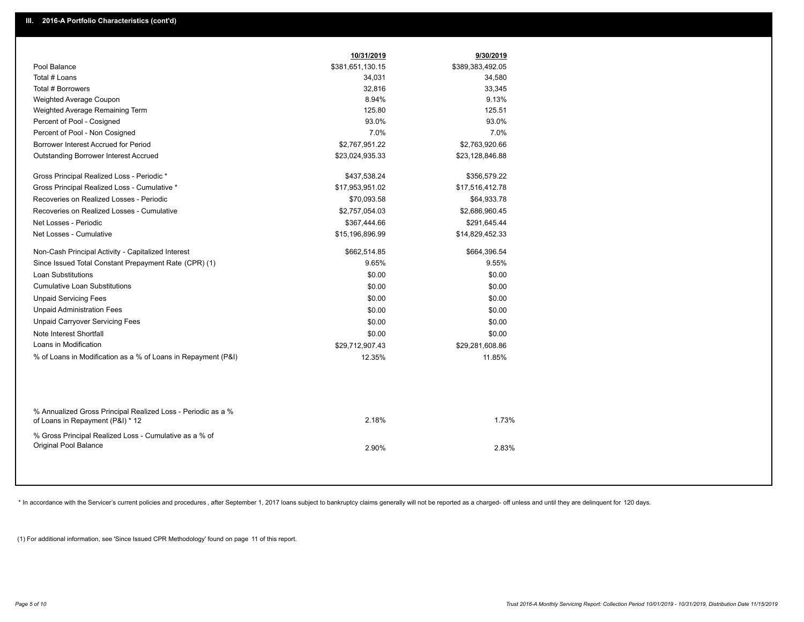|                                                                                                  | 10/31/2019       | 9/30/2019        |
|--------------------------------------------------------------------------------------------------|------------------|------------------|
| Pool Balance                                                                                     | \$381,651,130.15 | \$389,383,492.05 |
| Total # Loans                                                                                    | 34,031           | 34,580           |
| Total # Borrowers                                                                                | 32,816           | 33,345           |
| Weighted Average Coupon                                                                          | 8.94%            | 9.13%            |
| Weighted Average Remaining Term                                                                  | 125.80           | 125.51           |
| Percent of Pool - Cosigned                                                                       | 93.0%            | 93.0%            |
| Percent of Pool - Non Cosigned                                                                   | 7.0%             | 7.0%             |
| Borrower Interest Accrued for Period                                                             | \$2,767,951.22   | \$2,763,920.66   |
| <b>Outstanding Borrower Interest Accrued</b>                                                     | \$23,024,935.33  | \$23,128,846.88  |
| Gross Principal Realized Loss - Periodic *                                                       | \$437,538.24     | \$356,579.22     |
| Gross Principal Realized Loss - Cumulative *                                                     | \$17,953,951.02  | \$17,516,412.78  |
| Recoveries on Realized Losses - Periodic                                                         | \$70,093.58      | \$64,933.78      |
| Recoveries on Realized Losses - Cumulative                                                       | \$2,757,054.03   | \$2,686,960.45   |
| Net Losses - Periodic                                                                            | \$367,444.66     | \$291,645.44     |
| Net Losses - Cumulative                                                                          | \$15,196,896.99  | \$14,829,452.33  |
| Non-Cash Principal Activity - Capitalized Interest                                               | \$662,514.85     | \$664,396.54     |
| Since Issued Total Constant Prepayment Rate (CPR) (1)                                            | 9.65%            | 9.55%            |
| Loan Substitutions                                                                               | \$0.00           | \$0.00           |
| <b>Cumulative Loan Substitutions</b>                                                             | \$0.00           | \$0.00           |
| <b>Unpaid Servicing Fees</b>                                                                     | \$0.00           | \$0.00           |
| <b>Unpaid Administration Fees</b>                                                                | \$0.00           | \$0.00           |
| <b>Unpaid Carryover Servicing Fees</b>                                                           | \$0.00           | \$0.00           |
| Note Interest Shortfall                                                                          | \$0.00           | \$0.00           |
| Loans in Modification                                                                            | \$29,712,907.43  | \$29,281,608.86  |
| % of Loans in Modification as a % of Loans in Repayment (P&I)                                    | 12.35%           | 11.85%           |
|                                                                                                  |                  |                  |
| % Annualized Gross Principal Realized Loss - Periodic as a %<br>of Loans in Repayment (P&I) * 12 | 2.18%            | 1.73%            |
| % Gross Principal Realized Loss - Cumulative as a % of<br><b>Original Pool Balance</b>           | 2.90%            | 2.83%            |
|                                                                                                  |                  |                  |

\* In accordance with the Servicer's current policies and procedures, after September 1, 2017 loans subject to bankruptcy claims generally will not be reported as a charged- off unless and until they are delinquent for 120

(1) For additional information, see 'Since Issued CPR Methodology' found on page 11 of this report.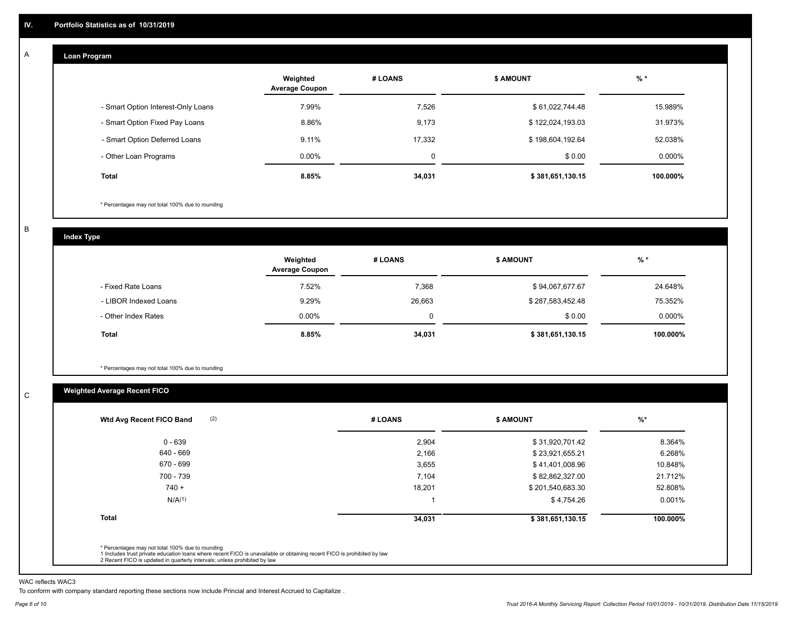#### **Loan Program**  A

|                                    | Weighted<br><b>Average Coupon</b> | # LOANS | <b>\$ AMOUNT</b> | $%$ *    |
|------------------------------------|-----------------------------------|---------|------------------|----------|
| - Smart Option Interest-Only Loans | 7.99%                             | 7,526   | \$61,022,744.48  | 15.989%  |
| - Smart Option Fixed Pay Loans     | 8.86%                             | 9,173   | \$122,024,193.03 | 31.973%  |
| - Smart Option Deferred Loans      | 9.11%                             | 17.332  | \$198,604,192.64 | 52.038%  |
| - Other Loan Programs              | $0.00\%$                          | 0       | \$0.00           | 0.000%   |
| <b>Total</b>                       | 8.85%                             | 34,031  | \$381,651,130.15 | 100.000% |

\* Percentages may not total 100% due to rounding

B

C

**Index Type**

|                       | Weighted<br><b>Average Coupon</b> | # LOANS     | <b>\$ AMOUNT</b> | $%$ *     |
|-----------------------|-----------------------------------|-------------|------------------|-----------|
| - Fixed Rate Loans    | 7.52%                             | 7,368       | \$94,067,677.67  | 24.648%   |
| - LIBOR Indexed Loans | 9.29%                             | 26,663      | \$287,583,452.48 | 75.352%   |
| - Other Index Rates   | $0.00\%$                          | $\mathbf 0$ | \$0.00           | $0.000\%$ |
| Total                 | 8.85%                             | 34,031      | \$381,651,130.15 | 100.000%  |

\* Percentages may not total 100% due to rounding

## **Weighted Average Recent FICO**

| $0 - 639$          | 2,904  | \$31,920,701.42  | 8.364%   |
|--------------------|--------|------------------|----------|
| 640 - 669          | 2,166  | \$23,921,655.21  | 6.268%   |
| 670 - 699          | 3,655  | \$41,401,008.96  | 10.848%  |
| 700 - 739          | 7,104  | \$82,862,327.00  | 21.712%  |
| $740 +$            | 18,201 | \$201,540,683.30 | 52.808%  |
| N/A <sup>(1)</sup> |        | \$4,754.26       | 0.001%   |
| <b>Total</b>       | 34,031 | \$381,651,130.15 | 100.000% |

WAC reflects WAC3

To conform with company standard reporting these sections now include Princial and Interest Accrued to Capitalize .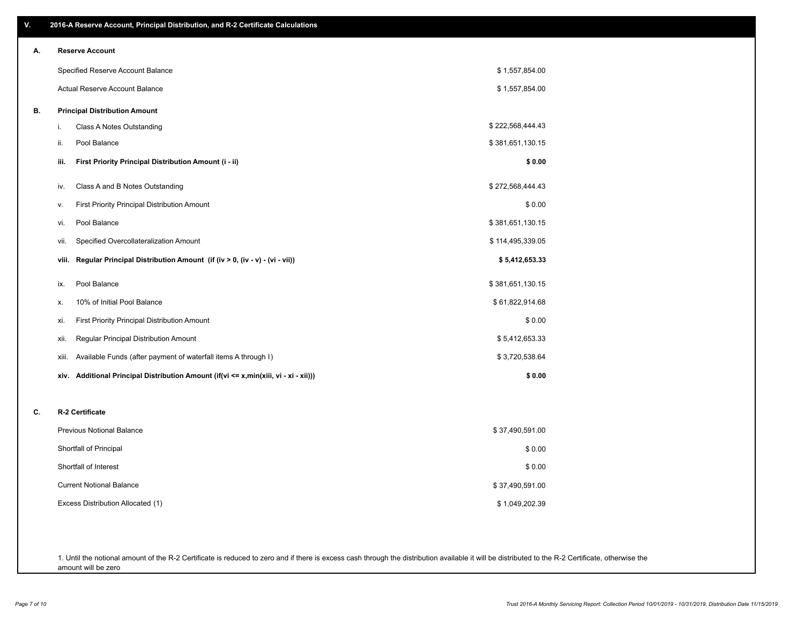| V. | 2016-A Reserve Account, Principal Distribution, and R-2 Certificate Calculations        |                  |
|----|-----------------------------------------------------------------------------------------|------------------|
| А. | <b>Reserve Account</b>                                                                  |                  |
|    | Specified Reserve Account Balance                                                       | \$1,557,854.00   |
|    | Actual Reserve Account Balance                                                          | \$1,557,854.00   |
| В. | <b>Principal Distribution Amount</b>                                                    |                  |
|    | Class A Notes Outstanding<br>i.                                                         | \$222,568,444.43 |
|    | Pool Balance<br>ii.                                                                     | \$381,651,130.15 |
|    | First Priority Principal Distribution Amount (i - ii)<br>iii.                           | \$0.00           |
|    | Class A and B Notes Outstanding<br>iv.                                                  | \$272,568,444.43 |
|    | First Priority Principal Distribution Amount<br>۷.                                      | \$0.00           |
|    | Pool Balance<br>vi.                                                                     | \$381,651,130.15 |
|    | Specified Overcollateralization Amount<br>vii.                                          | \$114,495,339.05 |
|    | Regular Principal Distribution Amount (if (iv > 0, (iv - v) - (vi - vii))<br>viii.      | \$5,412,653.33   |
|    | Pool Balance<br>ix.                                                                     | \$381,651,130.15 |
|    | 10% of Initial Pool Balance<br>х.                                                       | \$61,822,914.68  |
|    | First Priority Principal Distribution Amount<br>xi.                                     | \$0.00           |
|    | Regular Principal Distribution Amount<br>xii.                                           | \$5,412,653.33   |
|    | Available Funds (after payment of waterfall items A through I)<br>xiii.                 | \$3,720,538.64   |
|    | Additional Principal Distribution Amount (if(vi <= x,min(xiii, vi - xi - xii)))<br>xiv. | \$0.00           |
| C. | R-2 Certificate                                                                         |                  |
|    | <b>Previous Notional Balance</b>                                                        | \$37,490,591.00  |
|    | Shortfall of Principal                                                                  | \$0.00           |
|    | Shortfall of Interest                                                                   | \$0.00           |
|    | <b>Current Notional Balance</b>                                                         | \$37,490,591.00  |
|    | Excess Distribution Allocated (1)                                                       | \$1,049,202.39   |
|    |                                                                                         |                  |
|    |                                                                                         |                  |

1. Until the notional amount of the R-2 Certificate is reduced to zero and if there is excess cash through the distribution available it will be distributed to the R-2 Certificate, otherwise the amount will be zero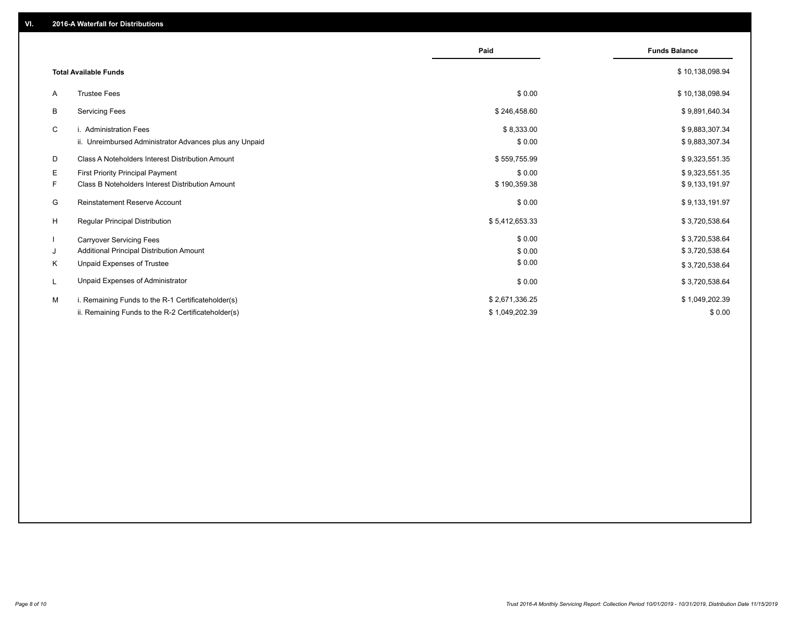|                                                               | Paid           | <b>Funds Balance</b> |
|---------------------------------------------------------------|----------------|----------------------|
| <b>Total Available Funds</b>                                  |                | \$10,138,098.94      |
| <b>Trustee Fees</b><br>A                                      | \$0.00         | \$10,138,098.94      |
| B<br><b>Servicing Fees</b>                                    | \$246,458.60   | \$9,891,640.34       |
| C<br>i. Administration Fees                                   | \$8,333.00     | \$9,883,307.34       |
| ii. Unreimbursed Administrator Advances plus any Unpaid       | \$0.00         | \$9,883,307.34       |
| D<br><b>Class A Noteholders Interest Distribution Amount</b>  | \$559,755.99   | \$9,323,551.35       |
| E.<br>First Priority Principal Payment                        | \$0.00         | \$9,323,551.35       |
| F.<br><b>Class B Noteholders Interest Distribution Amount</b> | \$190,359.38   | \$9,133,191.97       |
| G<br><b>Reinstatement Reserve Account</b>                     | \$0.00         | \$9,133,191.97       |
| H<br><b>Regular Principal Distribution</b>                    | \$5,412,653.33 | \$3,720,538.64       |
| $\mathbf{I}$<br><b>Carryover Servicing Fees</b>               | \$0.00         | \$3,720,538.64       |
| Additional Principal Distribution Amount<br>J                 | \$0.00         | \$3,720,538.64       |
| Κ<br>Unpaid Expenses of Trustee                               | \$0.00         | \$3,720,538.64       |
| Unpaid Expenses of Administrator<br>L                         | \$0.00         | \$3,720,538.64       |
| М<br>i. Remaining Funds to the R-1 Certificateholder(s)       | \$2,671,336.25 | \$1,049,202.39       |
| ii. Remaining Funds to the R-2 Certificateholder(s)           | \$1,049,202.39 | \$0.00               |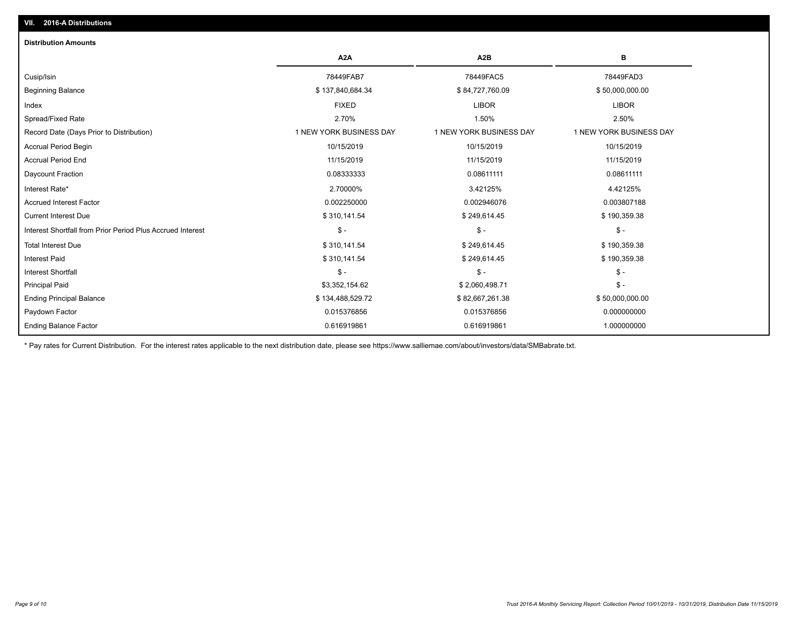| <b>Distribution Amounts</b>                                |                         |                         |                         |
|------------------------------------------------------------|-------------------------|-------------------------|-------------------------|
|                                                            | A <sub>2</sub> A        | A <sub>2</sub> B        | в                       |
| Cusip/Isin                                                 | 78449FAB7               | 78449FAC5               | 78449FAD3               |
| <b>Beginning Balance</b>                                   | \$137,840,684.34        | \$84,727,760.09         | \$50,000,000.00         |
| Index                                                      | <b>FIXED</b>            | <b>LIBOR</b>            | <b>LIBOR</b>            |
| Spread/Fixed Rate                                          | 2.70%                   | 1.50%                   | 2.50%                   |
| Record Date (Days Prior to Distribution)                   | 1 NEW YORK BUSINESS DAY | 1 NEW YORK BUSINESS DAY | 1 NEW YORK BUSINESS DAY |
| Accrual Period Begin                                       | 10/15/2019              | 10/15/2019              | 10/15/2019              |
| <b>Accrual Period End</b>                                  | 11/15/2019              | 11/15/2019              | 11/15/2019              |
| Daycount Fraction                                          | 0.08333333              | 0.08611111              | 0.08611111              |
| Interest Rate*                                             | 2.70000%                | 3.42125%                | 4.42125%                |
| <b>Accrued Interest Factor</b>                             | 0.002250000             | 0.002946076             | 0.003807188             |
| <b>Current Interest Due</b>                                | \$310,141.54            | \$249,614.45            | \$190,359.38            |
| Interest Shortfall from Prior Period Plus Accrued Interest | $\mathsf{\$}$ -         | $\mathcal{S}$ -         | $$ -$                   |
| <b>Total Interest Due</b>                                  | \$310,141.54            | \$249,614.45            | \$190,359.38            |
| <b>Interest Paid</b>                                       | \$310,141.54            | \$249,614.45            | \$190,359.38            |
| <b>Interest Shortfall</b>                                  | $\frac{1}{2}$           | $$ -$                   | $$ -$                   |
| <b>Principal Paid</b>                                      | \$3,352,154.62          | \$2,060,498.71          | $$ -$                   |
| <b>Ending Principal Balance</b>                            | \$134,488,529.72        | \$82,667,261.38         | \$50,000,000.00         |
| Paydown Factor                                             | 0.015376856             | 0.015376856             | 0.000000000             |
| <b>Ending Balance Factor</b>                               | 0.616919861             | 0.616919861             | 1.000000000             |

\* Pay rates for Current Distribution. For the interest rates applicable to the next distribution date, please see https://www.salliemae.com/about/investors/data/SMBabrate.txt.

**VII. 2016-A Distributions**